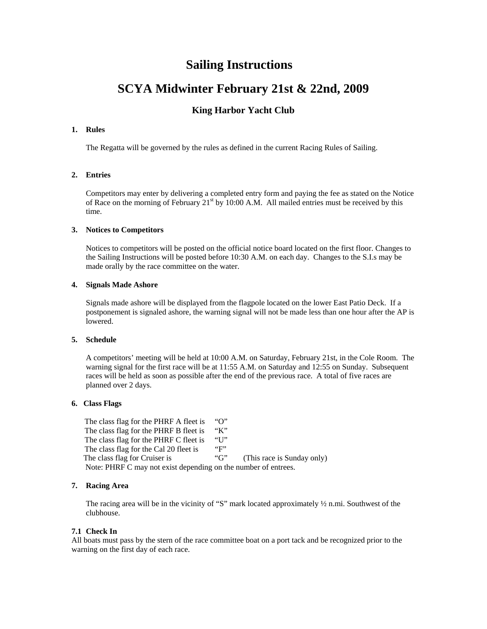## **Sailing Instructions**

# **SCYA Midwinter February 21st & 22nd, 2009**

## **King Harbor Yacht Club**

### **1. Rules**

The Regatta will be governed by the rules as defined in the current Racing Rules of Sailing.

## **2. Entries**

Competitors may enter by delivering a completed entry form and paying the fee as stated on the Notice of Race on the morning of February  $21<sup>st</sup>$  by 10:00 A.M. All mailed entries must be received by this time.

#### **3. Notices to Competitors**

Notices to competitors will be posted on the official notice board located on the first floor. Changes to the Sailing Instructions will be posted before 10:30 A.M. on each day. Changes to the S.I.s may be made orally by the race committee on the water.

## **4. Signals Made Ashore**

Signals made ashore will be displayed from the flagpole located on the lower East Patio Deck. If a postponement is signaled ashore, the warning signal will not be made less than one hour after the AP is lowered.

#### **5. Schedule**

A competitors' meeting will be held at 10:00 A.M. on Saturday, February 21st, in the Cole Room. The warning signal for the first race will be at 11:55 A.M. on Saturday and 12:55 on Sunday. Subsequent races will be held as soon as possible after the end of the previous race. A total of five races are planned over 2 days.

### **6. Class Flags**

The class flag for the PHRF A fleet is "O" The class flag for the PHRF B fleet is "K"<br>The class flag for the PHRF C fleet is "U" The class flag for the PHRF C fleet is The class flag for the Cal 20 fleet is "F" The class flag for Cruiser is "G" (This race is Sunday only) Note: PHRF C may not exist depending on the number of entrees.

## **7. Racing Area**

The racing area will be in the vicinity of "S" mark located approximately  $\frac{1}{2}$  n.mi. Southwest of the clubhouse.

## **7.1 Check In**

All boats must pass by the stern of the race committee boat on a port tack and be recognized prior to the warning on the first day of each race.